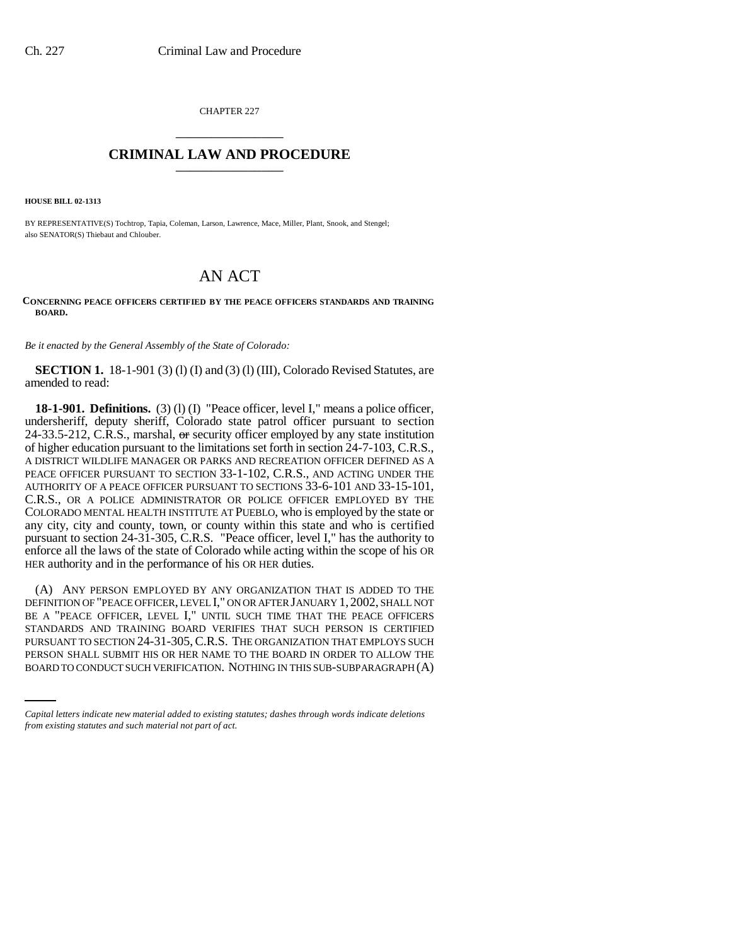CHAPTER 227 \_\_\_\_\_\_\_\_\_\_\_\_\_\_\_

## **CRIMINAL LAW AND PROCEDURE** \_\_\_\_\_\_\_\_\_\_\_\_\_\_\_

**HOUSE BILL 02-1313**

BY REPRESENTATIVE(S) Tochtrop, Tapia, Coleman, Larson, Lawrence, Mace, Miller, Plant, Snook, and Stengel; also SENATOR(S) Thiebaut and Chlouber.

## AN ACT

## **CONCERNING PEACE OFFICERS CERTIFIED BY THE PEACE OFFICERS STANDARDS AND TRAINING BOARD.**

*Be it enacted by the General Assembly of the State of Colorado:*

**SECTION 1.** 18-1-901 (3) (1) (I) and (3) (1) (III), Colorado Revised Statutes, are amended to read:

**18-1-901. Definitions.** (3) (l) (I) "Peace officer, level I," means a police officer, undersheriff, deputy sheriff, Colorado state patrol officer pursuant to section 24-33.5-212, C.R.S., marshal,  $\Theta$  security officer employed by any state institution of higher education pursuant to the limitations set forth in section 24-7-103, C.R.S., A DISTRICT WILDLIFE MANAGER OR PARKS AND RECREATION OFFICER DEFINED AS A PEACE OFFICER PURSUANT TO SECTION 33-1-102, C.R.S., AND ACTING UNDER THE AUTHORITY OF A PEACE OFFICER PURSUANT TO SECTIONS 33-6-101 AND 33-15-101, C.R.S., OR A POLICE ADMINISTRATOR OR POLICE OFFICER EMPLOYED BY THE COLORADO MENTAL HEALTH INSTITUTE AT PUEBLO, who is employed by the state or any city, city and county, town, or county within this state and who is certified pursuant to section 24-31-305, C.R.S. "Peace officer, level I," has the authority to enforce all the laws of the state of Colorado while acting within the scope of his OR HER authority and in the performance of his OR HER duties.

PURSUANT TO SECTION 24-31-305,C.R.S. THE ORGANIZATION THAT EMPLOYS SUCH (A) ANY PERSON EMPLOYED BY ANY ORGANIZATION THAT IS ADDED TO THE DEFINITION OF "PEACE OFFICER, LEVEL I," ON OR AFTER JANUARY 1, 2002, SHALL NOT BE A "PEACE OFFICER, LEVEL I," UNTIL SUCH TIME THAT THE PEACE OFFICERS STANDARDS AND TRAINING BOARD VERIFIES THAT SUCH PERSON IS CERTIFIED PERSON SHALL SUBMIT HIS OR HER NAME TO THE BOARD IN ORDER TO ALLOW THE BOARD TO CONDUCT SUCH VERIFICATION. NOTHING IN THIS SUB-SUBPARAGRAPH (A)

*Capital letters indicate new material added to existing statutes; dashes through words indicate deletions from existing statutes and such material not part of act.*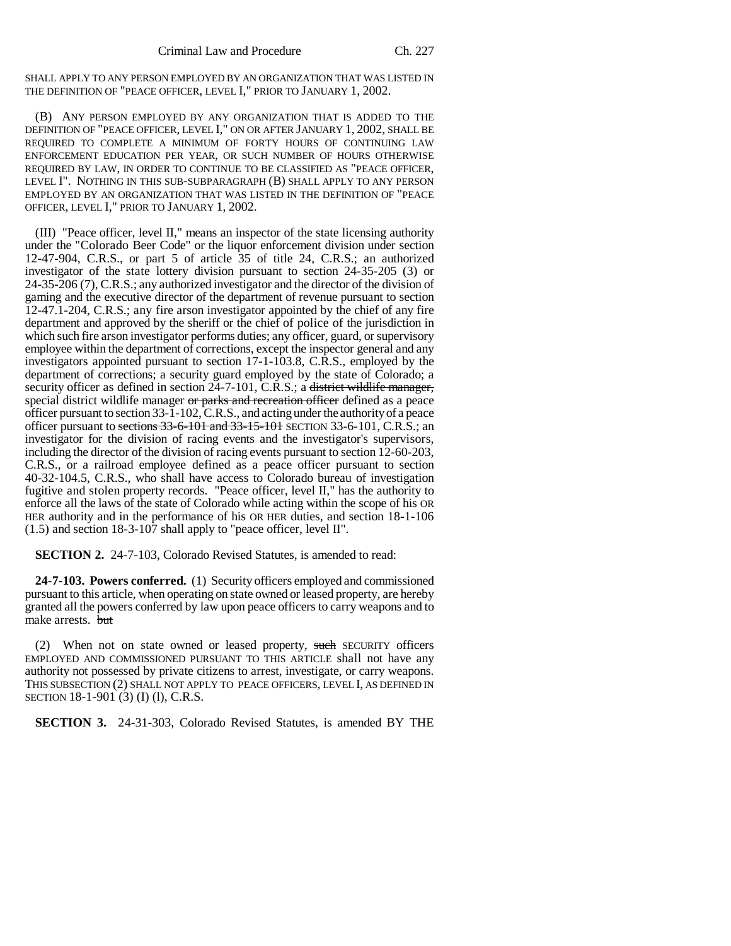SHALL APPLY TO ANY PERSON EMPLOYED BY AN ORGANIZATION THAT WAS LISTED IN THE DEFINITION OF "PEACE OFFICER, LEVEL I," PRIOR TO JANUARY 1, 2002.

(B) ANY PERSON EMPLOYED BY ANY ORGANIZATION THAT IS ADDED TO THE DEFINITION OF "PEACE OFFICER, LEVEL I," ON OR AFTER JANUARY 1, 2002, SHALL BE REQUIRED TO COMPLETE A MINIMUM OF FORTY HOURS OF CONTINUING LAW ENFORCEMENT EDUCATION PER YEAR, OR SUCH NUMBER OF HOURS OTHERWISE REQUIRED BY LAW, IN ORDER TO CONTINUE TO BE CLASSIFIED AS "PEACE OFFICER, LEVEL I". NOTHING IN THIS SUB-SUBPARAGRAPH (B) SHALL APPLY TO ANY PERSON EMPLOYED BY AN ORGANIZATION THAT WAS LISTED IN THE DEFINITION OF "PEACE OFFICER, LEVEL I," PRIOR TO JANUARY 1, 2002.

(III) "Peace officer, level II," means an inspector of the state licensing authority under the "Colorado Beer Code" or the liquor enforcement division under section 12-47-904, C.R.S., or part 5 of article 35 of title 24, C.R.S.; an authorized investigator of the state lottery division pursuant to section 24-35-205 (3) or 24-35-206 (7), C.R.S.; any authorized investigator and the director of the division of gaming and the executive director of the department of revenue pursuant to section 12-47.1-204, C.R.S.; any fire arson investigator appointed by the chief of any fire department and approved by the sheriff or the chief of police of the jurisdiction in which such fire arson investigator performs duties; any officer, guard, or supervisory employee within the department of corrections, except the inspector general and any investigators appointed pursuant to section 17-1-103.8, C.R.S., employed by the department of corrections; a security guard employed by the state of Colorado; a security officer as defined in section 24-7-101, C.R.S.; a district wildlife manager, special district wildlife manager or parks and recreation officer defined as a peace officer pursuant to section 33-1-102, C.R.S., and acting under the authority of a peace officer pursuant to sections  $33-6-101$  and  $33-15-101$  SECTION 33-6-101, C.R.S.; an investigator for the division of racing events and the investigator's supervisors, including the director of the division of racing events pursuant to section 12-60-203, C.R.S., or a railroad employee defined as a peace officer pursuant to section 40-32-104.5, C.R.S., who shall have access to Colorado bureau of investigation fugitive and stolen property records. "Peace officer, level II," has the authority to enforce all the laws of the state of Colorado while acting within the scope of his OR HER authority and in the performance of his OR HER duties, and section 18-1-106 (1.5) and section 18-3-107 shall apply to "peace officer, level II".

**SECTION 2.** 24-7-103, Colorado Revised Statutes, is amended to read:

**24-7-103. Powers conferred.** (1) Security officers employed and commissioned pursuant to this article, when operating on state owned or leased property, are hereby granted all the powers conferred by law upon peace officers to carry weapons and to make arrests. but

(2) When not on state owned or leased property, such SECURITY officers EMPLOYED AND COMMISSIONED PURSUANT TO THIS ARTICLE shall not have any authority not possessed by private citizens to arrest, investigate, or carry weapons. THIS SUBSECTION (2) SHALL NOT APPLY TO PEACE OFFICERS, LEVEL I, AS DEFINED IN SECTION 18-1-901 (3) (I) (l), C.R.S.

**SECTION 3.** 24-31-303, Colorado Revised Statutes, is amended BY THE